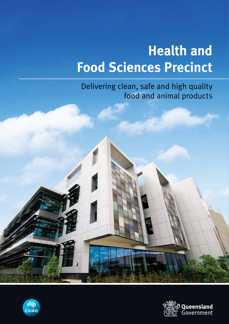# **Health and Food Sciences Precinct**

Delivering clean, safe and high quality food and animal products



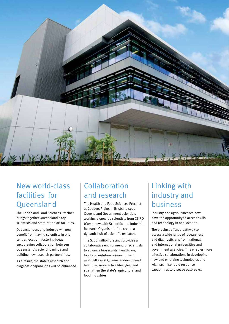

## New world-class facilities for Queensland

The Health and Food Sciences Precinct brings together Queensland's top scientists and state-of-the-art facilities.

Queenslanders and industry will now benefit from having scientists in one central location: fostering ideas, encouraging collaboration between Queensland's scientific minds and building new research partnerships.

As a result, the state's research and diagnostic capabilities will be enhanced.

## Collaboration and research

The Health and Food Sciences Precinct at Coopers Plains in Brisbane sees Queensland Government scientists working alongside scientists from CSIRO (Commonwealth Scientific and Industrial Research Organisation) to create a dynamic hub of scientific research.

The \$100 million precinct provides a collaborative environment for scientists to advance biosecurity, healthcare, food and nutrition research. Their work will assist Queenslanders to lead healthier, more active lifestyles, and strengthen the state's agricultural and food industries.

## Linking with industry and business

Industry and agribusinesses now have the opportunity to access skills and technology in one location.

The precinct offers a pathway to access a wide range of researchers and diagnosticians from national and international universities and government agencies. This enables more effective collaborations in developing new and emerging technologies and will maximise rapid response capabilities to disease outbreaks.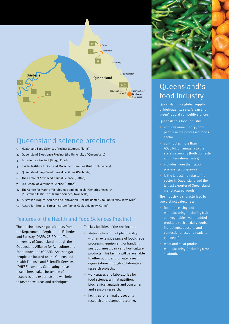

## Queensland science precincts

- 1. Health and Food Sciences Precinct (Coopers Plains)
- 2. Queensland Bioscience Precinct (the University of Queensland)
- 3. Ecosciences Precinct (Boggo Road)
- 4. Eskitis Institute for Cell and Molecular Therapies (Griffith University)
- 5. Queensland Crop Development Facilities (Redlands)
- 6. The Centre of Advanced Animal Science (Gatton)
- 7. UQ School of Veterinary Science (Gatton)
- 8. The Centre for Marine Microbiology and Molecular Genetics Research (Australian Institute of Marine Science, Townsville)
- 9. Australian Tropical Science and Innovation Precinct (James Cook University, Townsville)
- 10. Australian Tropical Forest Institute (James Cook University, Cairns)

#### Features of the Health and Food Sciences Precinct

The precinct hosts 190 scientists from the Department of Agriculture, Fisheries and Forestry (DAFF), CSIRO and The University of Queensland through the Queensland Alliance for Agriculture and Food Innovation (QAAFI). Another 550 people are located on the Queensland Health Forensic and Scientific Services (QHFSS) campus. Co-locating these researchers makes better use of resources and expertise and will help to foster new ideas and techniques.

The key facilities of the precinct are:

- state-of-the-art pilot plant facility with an extensive range of food-grade processing equipment for handling seafood, meat, dairy and horticulture products. This facility will be available to other public and private research organisations through collaborative research projects.
- workspaces and laboratories for food science, animal nutrition, biochemical analysis and consumer and sensory research.
- facilities for animal biosecurity research and diagnostic testing.



## Queensland's food industry

Queensland is a global supplier of high-quality, safe, 'clean and green' food at competitive prices.

Queensland's food industry:

- employs more than 43 000 people in the processed foods sector
- contributes more than A\$15 billion annually to the state's economy (both domestic and international sales)
- $in$ cludes more than  $1400$ processing companies
- is the largest manufacturing sector in Queensland and the largest exporter of Queensland manufactured goods.

The industry is characterised by two distinct categories:

- • food processing and manufacturing (including fruit and vegetables, value-added products such as dairy foods, ingredients, desserts and confectionaries, and ready-toeat meals)
- meat and meat product manufacturing (including fresh seafood).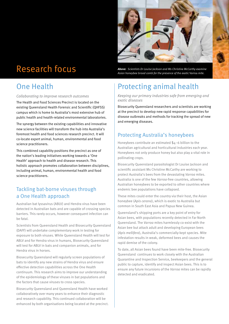## One Health

#### *Collaborating to improve research outcomes*

The Health and Food Sciences Precinct is located on the existing Queensland Health Forensic and Scientific (QHFSS) campus which is home to Australia's most extensive hub of public health and health-related environmental laboratories.

The synergy between the existing capabilities and innovative new science facilities will transform the hub into Australia's foremost health and food sciences research precinct. It will co-locate expert animal, human, environmental and food science practitioners.

This combined capability positions the precinct as one of the nation's leading initiatives working towards a 'One Health' approach to health and disease research. This holistic approach promotes collaboration between disciplines, including animal, human, environmental health and food science practitioners.

#### Tackling bat-borne viruses through a One Health approach

Australian bat lyssavirus (ABLV) and Hendra virus have been detected in Australian bats and are capable of crossing species barriers. This rarely occurs, however consequent infection can be fatal.

Scientists from Queensland Health and Biosecurity Queensland (DAFF) will undertake complementary work in testing for exposure to both viruses. While Queensland Health will test for ABLV and for Hendra virus in humans, Biosecurity Queensland will test for ABLV in bats and companion animals, and for Hendra virus in horses.

Biosecurity Queensland will regularly screen populations of bats to identify any new strains of Hendra virus and ensure effective detection capabilities across the One Health continuum. This research aims to improve our understanding of the epidemiology of these viruses in bat populations and the factors that cause viruses to cross species.

Biosecurity Queensland and Queensland Health have worked collaboratively over many years to enhance their diagnostic and research capability. This continued collaboration will be enhanced by both organisations being located at the precinct.

Research focus **Form in the Carthy examine**<br>Asian honeybee brood comb for the presence of the exotic Varroa mite.

## Protecting animal health

*Keeping our primary industries safe from emerging and exotic diseases*

Biosecurity Queensland researchers and scientists are working at the precinct to develop new rapid response capabilities for disease outbreaks and methods for tracking the spread of new and emerging diseases.

#### Protecting Australia's honeybees

Honeybees contribute an estimated \$4–6 billion to the Australian agricultural and horticultural industries each year. Honeybees not only produce honey but also play a vital role in pollinating crops.

Biosecurity Queensland parasitologist Dr Louise Jackson and scientific assistant Ms Christine McCarthy are working to protect Australia's bees from the devastating *Varroa* mites. Australia is one of the few *Varroa*-free countries, allowing Australian honeybees to be exported to other countries where endemic bee populations have collapsed.

These mites could enter the country via their host, the Asian honeybee (*Apis cerana*), which is exotic to Australia but common in South East Asia and Papua New Guinea.

Queensland's shipping ports are a key point of entry for Asian bees, with populations recently detected in Far North Queensland. The *Varroa* mites harmlessly co-exist with the Asian bee but attack adult and developing European bees (*Apis mellifera*), Australia's commercially-kept species. Mite infestation results in weak, deformed bees and causes the rapid demise of the colony.

To date, all Asian bees found have been mite-free. Biosecurity Queensland continues to work closely with the Australian Quarantine and Inspection Service, beekeepers and the general public to capture, identify and inspect Asian bees. This is to ensure any future incursions of the *Varroa* mites can be rapidly detected and eradicated.

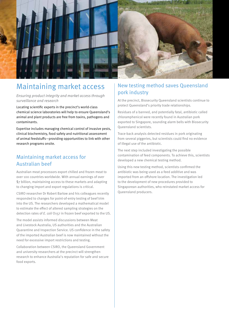

## Maintaining market access

*Ensuring product integrity and market access through surveillance and research*

Locating scientific experts in the precinct's world-class chemical science laboratories will help to ensure Queensland's animal and plant products are free from toxins, pathogens and contaminants.

Expertise includes managing chemical control of invasive pests, clinical biochemistry, food safety and nutritional assessment of animal feedstuffs—providing opportunities to link with other research programs onsite.

#### Maintaining market access for Australian beef

Australian meat processors export chilled and frozen meat to over 100 countries worldwide. With annual earnings of over \$7 billion, maintaining access to these markets and adapting to changing import and export regulations is critical.

CSIRO researcher Dr Robert Barlow and his colleagues recently responded to changes for point-of-entry testing of beef trim into the US. The researchers developed a mathematical model to estimate the effect of altered sampling strategies on the detection rates of *E. coli* O157 in frozen beef exported to the US.

The model assists informed discussions between Meat and Livestock Australia, US authorities and the Australian Quarantine and Inspection Service. US confidence in the safety of the imported Australian beef is now maintained without the need for excessive import restrictions and testing.

Collaboration between CSIRO, the Queensland Government and university researchers at the precinct will strengthen research to enhance Australia's reputation for safe and secure food exports.

#### New testing method saves Queensland pork industry

At the precinct, Biosecurity Queensland scientists continue to protect Queensland's priority trade relationships.

Residues of a banned, and potentially fatal, antibiotic called chloramphenicol were recently found in Australian pork exported to Singapore, sounding alarm bells with Biosecurity Queensland scientists.

Trace-back analysis detected residues in pork originating from several piggeries, but scientists could find no evidence of illegal use of the antibiotic.

The next step included investigating the possible contamination of feed components. To achieve this, scientists developed a new chemical testing method.

Using this new testing method, scientists confirmed the antibiotic was being used as a feed additive and was imported from an offshore location. The investigation led to the development of new procedures provided to Singaporean authorities, who reinstated market access for Queensland producers.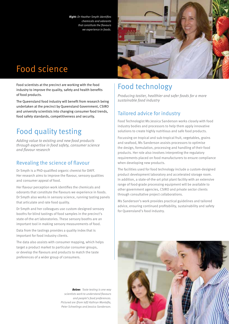*Right: Dr Heather Smyth identifies chemicals and odorants that constitute the flavours we experience in foods.*



## Food science

Food scientists at the precinct are working with the food industry to improve the quality, safety and health benefits of food products.

The Queensland food industry will benefit from research being undertaken at the precinct by Queensland Government, CSIRO and university scientists into changing consumer food trends, food safety standards, competitiveness and security.

## Food quality testing

*Adding value to existing and new food products through expertise in food safety, consumer science and flavour research*

#### Revealing the science of flavour

Dr Smyth is a PhD-qualified organic chemist for DAFF. Her research aims to improve the flavour, sensory qualities and consumer appeal of food.

Her flavour perception work identifies the chemicals and odorants that constitute the flavours we experience in foods. Dr Smyth also works in sensory science, running tasting panels that articulate and rate food quality.

Dr Smyth and her colleagues use custom-designed sensory booths for blind tastings of food samples in the precinct's state-of-the-art laboratories. These sensory booths are an important tool in making sensory measurements of food.

Data from the tastings provides a quality index that is important for food industry clients.

The data also assists with consumer mapping, which helps target a product market to particular consumer groups, or develop the flavours and products to match the taste preferences of a wider group of consumers.

*Below: Taste testing is one way scientists work to understand flavours and people's food preferences. Pictured are (from left) Kathryn Montafia, Peter Scheelings and Jessica Sanderson.*

## Food technology

*Producing tastier, healthier and safer foods for a more sustainable food industry*

### Tailored advice for industry

Food Technologist Ms Jessica Sanderson works closely with food industry bodies and processors to help them apply innovative solutions to create highly nutritious and safe food products.

Focussing on tropical and sub-tropical fruit, vegetables, grains and seafood, Ms Sanderson assists processors to optimise the design, formulation, processing and handling of their food products. Her role also involves interpreting the regulatory requirements placed on food manufacturers to ensure compliance when developing new products.

The facilities used for food technology include a custom-designed product development laboratory and accelerated storage room. In addition, a state-of-the-art pilot plant facility with an extensive range of food-grade processing equipment will be available to other government agencies, CSIRO and private sector clients through consultative project collaborations.

Ms Sanderson's work provides practical guidelines and tailored advice, ensuring continued profitability, sustainability and safety for Queensland's food industry.

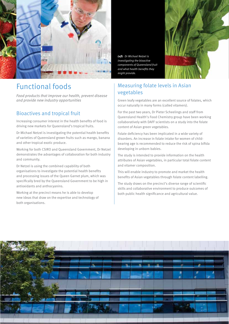

## Functional foods

*Food products that improve our health, prevent disease and provide new industry opportunities*

#### Bioactives and tropical fruit

Increasing consumer interest in the health benefits of food is driving new markets for Queensland's tropical fruits.

Dr Michael Netzel is investigating the potential health benefits of varieties of Queensland grown fruits such as mango, banana and other tropical exotic produce.

Working for both CSIRO and Queensland Government, Dr Netzel demonstrates the advantages of collaboration for both industry and community.

Dr Netzel is using the combined capability of both organisations to investigate the potential health benefits and processing issues of the Queen Garnet plum, which was specifically bred by the Queensland Government to be high in antioxidants and anthocyanins.

Working at the precinct means he is able to develop new ideas that draw on the expertise and technology of both organisations.

*Left: Dr Michael Netzel is investigating the bioactive components of Queensland fruit and what health benefits they might provide.*



#### Measuring folate levels in Asian vegetables

Green leafy vegetables are an excellent source of folates, which occur naturally in many forms (called vitamers).

For the past two years, Dr Pieter Scheelings and staff from Queensland Health's Food Chemistry group have been working collaboratively with DAFF scientists on a study into the folate content of Asian green vegetables.

Folate deficiency has been implicated in a wide variety of disorders. An increase in folate intake for women of childbearing age is recommended to reduce the risk of spina bifida developing in unborn babies.

The study is intended to provide information on the health attributes of Asian vegetables, in particular total folate content and vitamer composition.

This will enable industry to promote and market the health benefits of Asian vegetables through folate content labelling.

The study draws on the precinct's diverse range of scientific skills and collaborative environment to produce outcomes of both public health significance and agricultural value.